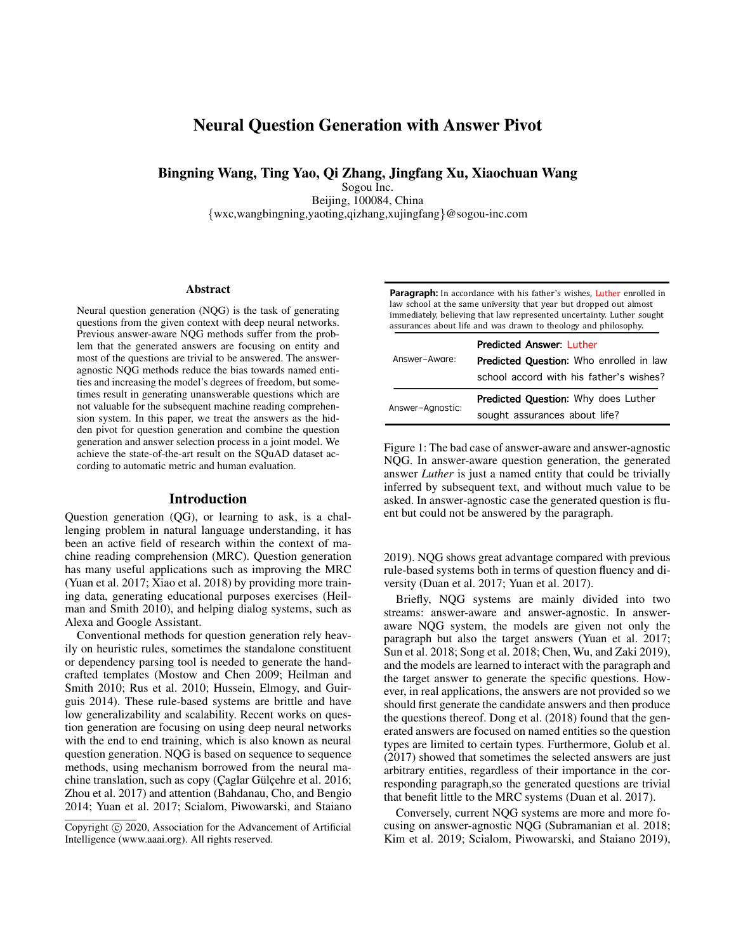# Neural Question Generation with Answer Pivot

Bingning Wang, Ting Yao, Qi Zhang, Jingfang Xu, Xiaochuan Wang

Sogou Inc. Beijing, 100084, China {wxc,wangbingning,yaoting,qizhang,xujingfang}@sogou-inc.com

#### **Abstract**

Neural question generation (NQG) is the task of generating questions from the given context with deep neural networks. Previous answer-aware NQG methods suffer from the problem that the generated answers are focusing on entity and most of the questions are trivial to be answered. The answeragnostic NQG methods reduce the bias towards named entities and increasing the model's degrees of freedom, but sometimes result in generating unanswerable questions which are not valuable for the subsequent machine reading comprehension system. In this paper, we treat the answers as the hidden pivot for question generation and combine the question generation and answer selection process in a joint model. We achieve the state-of-the-art result on the SQuAD dataset according to automatic metric and human evaluation.

#### Introduction

Question generation (QG), or learning to ask, is a challenging problem in natural language understanding, it has been an active field of research within the context of machine reading comprehension (MRC). Question generation has many useful applications such as improving the MRC (Yuan et al. 2017; Xiao et al. 2018) by providing more training data, generating educational purposes exercises (Heilman and Smith 2010), and helping dialog systems, such as Alexa and Google Assistant.

Conventional methods for question generation rely heavily on heuristic rules, sometimes the standalone constituent or dependency parsing tool is needed to generate the handcrafted templates (Mostow and Chen 2009; Heilman and Smith 2010; Rus et al. 2010; Hussein, Elmogy, and Guirguis 2014). These rule-based systems are brittle and have low generalizability and scalability. Recent works on question generation are focusing on using deep neural networks with the end to end training, which is also known as neural question generation. NQG is based on sequence to sequence methods, using mechanism borrowed from the neural machine translation, such as copy (Çaglar Gülçehre et al. 2016; Zhou et al. 2017) and attention (Bahdanau, Cho, and Bengio 2014; Yuan et al. 2017; Scialom, Piwowarski, and Staiano

**Paragraph:** In accordance with his father's wishes, **Luther** enrolled in law school at the same university that year but dropped out almost immediately, believing that law represented uncertainty. Luther sought assurances about life and was drawn to theology and philosophy.

| Answer-Aware:    | <b>Predicted Answer: Luther</b>                |  |  |  |  |
|------------------|------------------------------------------------|--|--|--|--|
|                  | <b>Predicted Question:</b> Who enrolled in law |  |  |  |  |
|                  | school accord with his father's wishes?        |  |  |  |  |
| Answer-Agnostic: | Predicted Question: Why does Luther            |  |  |  |  |
|                  | sought assurances about life?                  |  |  |  |  |

Figure 1: The bad case of answer-aware and answer-agnostic NQG. In answer-aware question generation, the generated answer *Luther* is just a named entity that could be trivially inferred by subsequent text, and without much value to be asked. In answer-agnostic case the generated question is fluent but could not be answered by the paragraph.

2019). NQG shows great advantage compared with previous rule-based systems both in terms of question fluency and diversity (Duan et al. 2017; Yuan et al. 2017).

Briefly, NQG systems are mainly divided into two streams: answer-aware and answer-agnostic. In answeraware NQG system, the models are given not only the paragraph but also the target answers (Yuan et al. 2017; Sun et al. 2018; Song et al. 2018; Chen, Wu, and Zaki 2019), and the models are learned to interact with the paragraph and the target answer to generate the specific questions. However, in real applications, the answers are not provided so we should first generate the candidate answers and then produce the questions thereof. Dong et al. (2018) found that the generated answers are focused on named entities so the question types are limited to certain types. Furthermore, Golub et al. (2017) showed that sometimes the selected answers are just arbitrary entities, regardless of their importance in the corresponding paragraph,so the generated questions are trivial that benefit little to the MRC systems (Duan et al. 2017).

Conversely, current NQG systems are more and more focusing on answer-agnostic NQG (Subramanian et al. 2018; Kim et al. 2019; Scialom, Piwowarski, and Staiano 2019),

Copyright (c) 2020, Association for the Advancement of Artificial Intelligence (www.aaai.org). All rights reserved.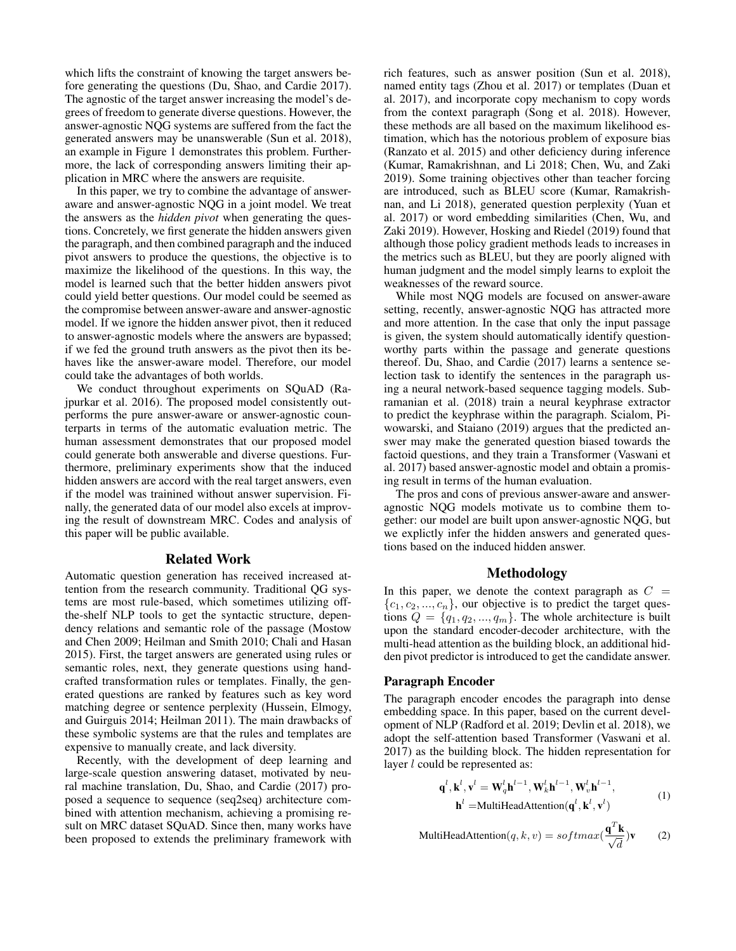which lifts the constraint of knowing the target answers before generating the questions (Du, Shao, and Cardie 2017). The agnostic of the target answer increasing the model's degrees of freedom to generate diverse questions. However, the answer-agnostic NQG systems are suffered from the fact the generated answers may be unanswerable (Sun et al. 2018), an example in Figure 1 demonstrates this problem. Furthermore, the lack of corresponding answers limiting their application in MRC where the answers are requisite.

In this paper, we try to combine the advantage of answeraware and answer-agnostic NQG in a joint model. We treat the answers as the *hidden pivot* when generating the questions. Concretely, we first generate the hidden answers given the paragraph, and then combined paragraph and the induced pivot answers to produce the questions, the objective is to maximize the likelihood of the questions. In this way, the model is learned such that the better hidden answers pivot could yield better questions. Our model could be seemed as the compromise between answer-aware and answer-agnostic model. If we ignore the hidden answer pivot, then it reduced to answer-agnostic models where the answers are bypassed; if we fed the ground truth answers as the pivot then its behaves like the answer-aware model. Therefore, our model could take the advantages of both worlds.

We conduct throughout experiments on SQuAD (Rajpurkar et al. 2016). The proposed model consistently outperforms the pure answer-aware or answer-agnostic counterparts in terms of the automatic evaluation metric. The human assessment demonstrates that our proposed model could generate both answerable and diverse questions. Furthermore, preliminary experiments show that the induced hidden answers are accord with the real target answers, even if the model was trainined without answer supervision. Finally, the generated data of our model also excels at improving the result of downstream MRC. Codes and analysis of this paper will be public available.

#### Related Work

Automatic question generation has received increased attention from the research community. Traditional QG systems are most rule-based, which sometimes utilizing offthe-shelf NLP tools to get the syntactic structure, dependency relations and semantic role of the passage (Mostow and Chen 2009; Heilman and Smith 2010; Chali and Hasan 2015). First, the target answers are generated using rules or semantic roles, next, they generate questions using handcrafted transformation rules or templates. Finally, the generated questions are ranked by features such as key word matching degree or sentence perplexity (Hussein, Elmogy, and Guirguis 2014; Heilman 2011). The main drawbacks of these symbolic systems are that the rules and templates are expensive to manually create, and lack diversity.

Recently, with the development of deep learning and large-scale question answering dataset, motivated by neural machine translation, Du, Shao, and Cardie (2017) proposed a sequence to sequence (seq2seq) architecture combined with attention mechanism, achieving a promising result on MRC dataset SQuAD. Since then, many works have been proposed to extends the preliminary framework with

rich features, such as answer position (Sun et al. 2018), named entity tags (Zhou et al. 2017) or templates (Duan et al. 2017), and incorporate copy mechanism to copy words from the context paragraph (Song et al. 2018). However, these methods are all based on the maximum likelihood estimation, which has the notorious problem of exposure bias (Ranzato et al. 2015) and other deficiency during inference (Kumar, Ramakrishnan, and Li 2018; Chen, Wu, and Zaki 2019). Some training objectives other than teacher forcing are introduced, such as BLEU score (Kumar, Ramakrishnan, and Li 2018), generated question perplexity (Yuan et al. 2017) or word embedding similarities (Chen, Wu, and Zaki 2019). However, Hosking and Riedel (2019) found that although those policy gradient methods leads to increases in the metrics such as BLEU, but they are poorly aligned with human judgment and the model simply learns to exploit the weaknesses of the reward source.

While most NQG models are focused on answer-aware setting, recently, answer-agnostic NQG has attracted more and more attention. In the case that only the input passage is given, the system should automatically identify questionworthy parts within the passage and generate questions thereof. Du, Shao, and Cardie (2017) learns a sentence selection task to identify the sentences in the paragraph using a neural network-based sequence tagging models. Subramanian et al. (2018) train a neural keyphrase extractor to predict the keyphrase within the paragraph. Scialom, Piwowarski, and Staiano (2019) argues that the predicted answer may make the generated question biased towards the factoid questions, and they train a Transformer (Vaswani et al. 2017) based answer-agnostic model and obtain a promising result in terms of the human evaluation.

The pros and cons of previous answer-aware and answeragnostic NQG models motivate us to combine them together: our model are built upon answer-agnostic NQG, but we explictly infer the hidden answers and generated questions based on the induced hidden answer.

## Methodology

In this paper, we denote the context paragraph as  $C =$  $\{c_1, c_2, ..., c_n\}$ , our objective is to predict the target questions  $Q = \{q_1, q_2, ..., q_m\}$ . The whole architecture is built upon the standard encoder-decoder architecture, with the multi-head attention as the building block, an additional hidden pivot predictor is introduced to get the candidate answer.

#### Paragraph Encoder

The paragraph encoder encodes the paragraph into dense embedding space. In this paper, based on the current development of NLP (Radford et al. 2019; Devlin et al. 2018), we adopt the self-attention based Transformer (Vaswani et al. 2017) as the building block. The hidden representation for layer  $l$  could be represented as:

$$
\mathbf{q}^{l}, \mathbf{k}^{l}, \mathbf{v}^{l} = \mathbf{W}_{q}^{l} \mathbf{h}^{l-1}, \mathbf{W}_{k}^{l} \mathbf{h}^{l-1}, \mathbf{W}_{v}^{l} \mathbf{h}^{l-1},
$$
  

$$
\mathbf{h}^{l} = \text{MultiHeadAttention}(\mathbf{q}^{l}, \mathbf{k}^{l}, \mathbf{v}^{l})
$$
 (1)

MultiHeadAttention $(q, k, v) = softmax(\frac{\mathbf{q}^T \mathbf{k}}{\sqrt{d}})$  $(2)$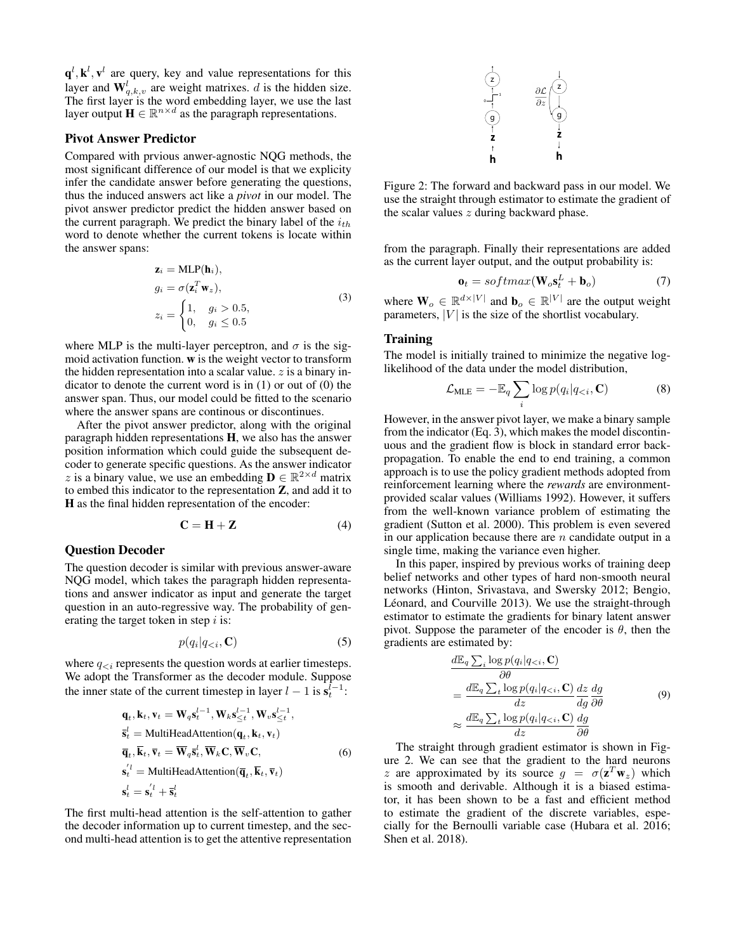${\bf q}^l, {\bf k}^l, {\bf v}^l$  are query, key and value representations for this layer and  $\mathbf{W}_{q,k,v}^l$  are weight matrixes. d is the hidden size. The first layer is the word embedding layer, we use the last layer output  $\mathbf{H} \in \mathbb{R}^{n \times d}$  as the paragraph representations.

#### Pivot Answer Predictor

Compared with prvious anwer-agnostic NQG methods, the most significant difference of our model is that we explicity infer the candidate answer before generating the questions, thus the induced answers act like a *pivot* in our model. The pivot answer predictor predict the hidden answer based on the current paragraph. We predict the binary label of the  $i_{th}$ word to denote whether the current tokens is locate within the answer spans:

$$
\mathbf{z}_{i} = \text{MLP}(\mathbf{h}_{i}),
$$
\n
$$
g_{i} = \sigma(\mathbf{z}_{i}^{T} \mathbf{w}_{z}),
$$
\n
$$
z_{i} = \begin{cases} 1, & g_{i} > 0.5, \\ 0, & g_{i} \le 0.5 \end{cases}
$$
\n(3)

where MLP is the multi-layer perceptron, and  $\sigma$  is the sigmoid activation function. w is the weight vector to transform the hidden representation into a scalar value.  $z$  is a binary indicator to denote the current word is in (1) or out of (0) the answer span. Thus, our model could be fitted to the scenario where the answer spans are continous or discontinues.

After the pivot answer predictor, along with the original paragraph hidden representations H, we also has the answer position information which could guide the subsequent decoder to generate specific questions. As the answer indicator z is a binary value, we use an embedding  $\mathbf{D} \in \mathbb{R}^{2 \times d}$  matrix to embed this indicator to the representation Z, and add it to H as the final hidden representation of the encoder:

$$
\mathbf{C} = \mathbf{H} + \mathbf{Z} \tag{4}
$$

#### Question Decoder

The question decoder is similar with previous answer-aware NQG model, which takes the paragraph hidden representations and answer indicator as input and generate the target question in an auto-regressive way. The probability of generating the target token in step  $i$  is:

$$
p(q_i|q_{< i}, \mathbf{C})\tag{5}
$$

where  $q_{\leq i}$  represents the question words at earlier timesteps. We adopt the Transformer as the decoder module. Suppose the inner state of the current timestep in layer  $l - 1$  is  $s_t^{l-1}$ :

$$
\mathbf{q}_t, \mathbf{k}_t, \mathbf{v}_t = \mathbf{W}_q \mathbf{s}_t^{l-1}, \mathbf{W}_k \mathbf{s}_{\leq t}^{l-1}, \mathbf{W}_v \mathbf{s}_{\leq t}^{l-1},
$$
\n
$$
\overline{\mathbf{s}}_t^l = \text{MultiHeadAttention}(\mathbf{q}_t, \mathbf{k}_t, \mathbf{v}_t)
$$
\n
$$
\overline{\mathbf{q}}_t, \overline{\mathbf{k}}_t, \overline{\mathbf{v}}_t = \overline{\mathbf{W}}_q \overline{\mathbf{s}}_t^l, \overline{\mathbf{W}}_k \mathbf{C}, \overline{\mathbf{W}}_v \mathbf{C},
$$
\n
$$
\mathbf{s}_t^{'l} = \text{MultiHeadAttention}(\overline{\mathbf{q}}_t, \overline{\mathbf{k}}_t, \overline{\mathbf{v}}_t)
$$
\n
$$
\mathbf{s}_t^l = \mathbf{s}_t^{'l} + \overline{\mathbf{s}}_t^l
$$
\n(6)

The first multi-head attention is the self-attention to gather the decoder information up to current timestep, and the second multi-head attention is to get the attentive representation



0

Figure 2: The forward and backward pass in our model. We use the straight through estimator to estimate the gradient of the scalar values  $z$  during backward phase.

from the paragraph. Finally their representations are added as the current layer output, and the output probability is:

$$
\mathbf{o}_t = softmax(\mathbf{W}_o \mathbf{s}_t^L + \mathbf{b}_o) \tag{7}
$$

where  $\mathbf{W}_o \in \mathbb{R}^{d \times |V|}$  and  $\mathbf{b}_o \in \mathbb{R}^{|V|}$  are the output weight parameters,  $|V|$  is the size of the shortlist vocabulary.

## Training

The model is initially trained to minimize the negative loglikelihood of the data under the model distribution,

$$
\mathcal{L}_{MLE} = -\mathbb{E}_q \sum_i \log p(q_i | q_{
$$

However, in the answer pivot layer, we make a binary sample from the indicator (Eq. 3), which makes the model discontinuous and the gradient flow is block in standard error backpropagation. To enable the end to end training, a common approach is to use the policy gradient methods adopted from reinforcement learning where the *rewards* are environmentprovided scalar values (Williams 1992). However, it suffers from the well-known variance problem of estimating the gradient (Sutton et al. 2000). This problem is even severed in our application because there are  $n$  candidate output in a single time, making the variance even higher.

In this paper, inspired by previous works of training deep belief networks and other types of hard non-smooth neural networks (Hinton, Srivastava, and Swersky 2012; Bengio, Léonard, and Courville 2013). We use the straight-through estimator to estimate the gradients for binary latent answer pivot. Suppose the parameter of the encoder is  $\theta$ , then the gradients are estimated by:

$$
\frac{d\mathbb{E}_q \sum_i \log p(q_i|q_{< i}, \mathbf{C})}{\partial \theta} \n= \frac{d\mathbb{E}_q \sum_t \log p(q_i|q_{< i}, \mathbf{C})}{dz} \frac{dz}{dg} \frac{dg}{\partial \theta} \n\approx \frac{d\mathbb{E}_q \sum_t \log p(q_i|q_{< i}, \mathbf{C})}{dz} \frac{dg}{\partial \theta}
$$
\n(9)

The straight through gradient estimator is shown in Figure 2. We can see that the gradient to the hard neurons z are approximated by its source  $g = \sigma(\mathbf{z}^T \mathbf{w}_z)$  which is smooth and derivable. Although it is a biased estimator, it has been shown to be a fast and efficient method to estimate the gradient of the discrete variables, especially for the Bernoulli variable case (Hubara et al. 2016; Shen et al. 2018).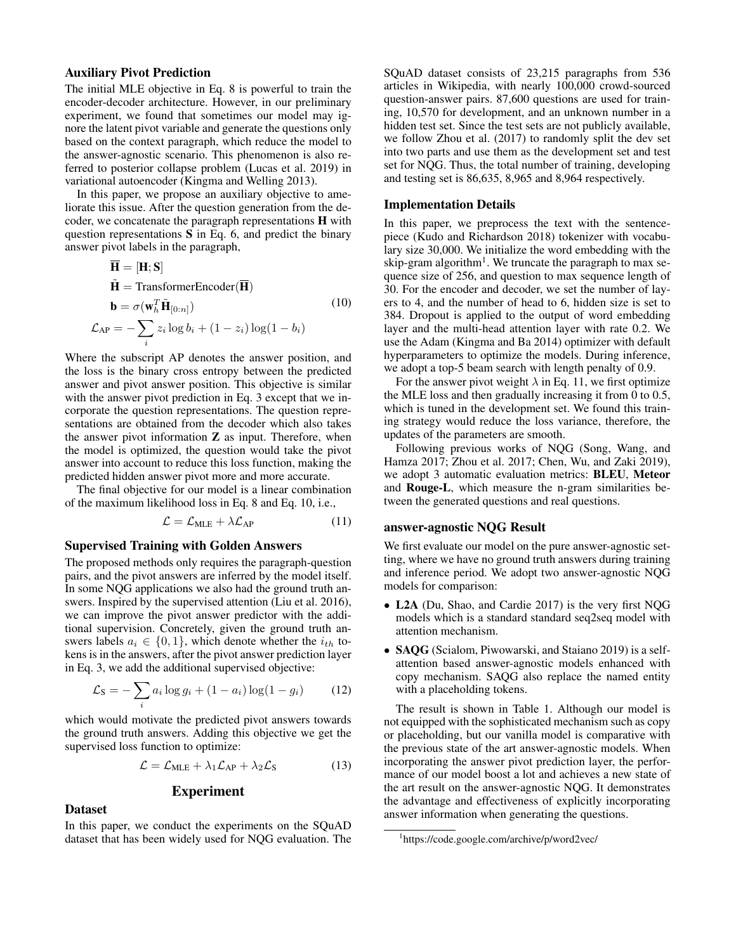## Auxiliary Pivot Prediction

The initial MLE objective in Eq. 8 is powerful to train the encoder-decoder architecture. However, in our preliminary experiment, we found that sometimes our model may ignore the latent pivot variable and generate the questions only based on the context paragraph, which reduce the model to the answer-agnostic scenario. This phenomenon is also referred to posterior collapse problem (Lucas et al. 2019) in variational autoencoder (Kingma and Welling 2013).

In this paper, we propose an auxiliary objective to ameliorate this issue. After the question generation from the decoder, we concatenate the paragraph representations H with question representations S in Eq. 6, and predict the binary answer pivot labels in the paragraph,

$$
\overline{\mathbf{H}} = [\mathbf{H}; \mathbf{S}]
$$
\n
$$
\tilde{\mathbf{H}} = \text{TransformerEncoder}(\overline{\mathbf{H}})
$$
\n
$$
\mathbf{b} = \sigma(\mathbf{w}_h^T \tilde{\mathbf{H}}_{[0:n]})
$$
\n
$$
\mathcal{L}_{AP} = -\sum_{i} z_i \log b_i + (1 - z_i) \log(1 - b_i)
$$
\n(10)

Where the subscript AP denotes the answer position, and the loss is the binary cross entropy between the predicted answer and pivot answer position. This objective is similar with the answer pivot prediction in Eq. 3 except that we incorporate the question representations. The question representations are obtained from the decoder which also takes the answer pivot information  $Z$  as input. Therefore, when the model is optimized, the question would take the pivot answer into account to reduce this loss function, making the predicted hidden answer pivot more and more accurate.

The final objective for our model is a linear combination of the maximum likelihood loss in Eq. 8 and Eq. 10, i.e.,

$$
\mathcal{L} = \mathcal{L}_{MLE} + \lambda \mathcal{L}_{AP} \tag{11}
$$

#### Supervised Training with Golden Answers

The proposed methods only requires the paragraph-question pairs, and the pivot answers are inferred by the model itself. In some NQG applications we also had the ground truth answers. Inspired by the supervised attention (Liu et al. 2016), we can improve the pivot answer predictor with the additional supervision. Concretely, given the ground truth answers labels  $a_i \in \{0, 1\}$ , which denote whether the  $i_{th}$  tokens is in the answers, after the pivot answer prediction layer in Eq. 3, we add the additional supervised objective:

$$
\mathcal{L}_{\rm S} = -\sum_{i} a_i \log g_i + (1 - a_i) \log (1 - g_i) \tag{12}
$$

which would motivate the predicted pivot answers towards the ground truth answers. Adding this objective we get the supervised loss function to optimize:

$$
\mathcal{L} = \mathcal{L}_{MLE} + \lambda_1 \mathcal{L}_{AP} + \lambda_2 \mathcal{L}_S \tag{13}
$$

## Experiment

#### **Dataset**

In this paper, we conduct the experiments on the SQuAD dataset that has been widely used for NQG evaluation. The

SQuAD dataset consists of 23,215 paragraphs from 536 articles in Wikipedia, with nearly 100,000 crowd-sourced question-answer pairs. 87,600 questions are used for training, 10,570 for development, and an unknown number in a hidden test set. Since the test sets are not publicly available, we follow Zhou et al. (2017) to randomly split the dev set into two parts and use them as the development set and test set for NQG. Thus, the total number of training, developing and testing set is 86,635, 8,965 and 8,964 respectively.

#### Implementation Details

In this paper, we preprocess the text with the sentencepiece (Kudo and Richardson 2018) tokenizer with vocabulary size 30,000. We initialize the word embedding with the skip-gram algorithm<sup>1</sup>. We truncate the paragraph to max sequence size of 256, and question to max sequence length of 30. For the encoder and decoder, we set the number of layers to 4, and the number of head to 6, hidden size is set to 384. Dropout is applied to the output of word embedding layer and the multi-head attention layer with rate 0.2. We use the Adam (Kingma and Ba 2014) optimizer with default hyperparameters to optimize the models. During inference, we adopt a top-5 beam search with length penalty of 0.9.

For the answer pivot weight  $\lambda$  in Eq. 11, we first optimize the MLE loss and then gradually increasing it from 0 to 0.5, which is tuned in the development set. We found this training strategy would reduce the loss variance, therefore, the updates of the parameters are smooth.

Following previous works of NQG (Song, Wang, and Hamza 2017; Zhou et al. 2017; Chen, Wu, and Zaki 2019), we adopt 3 automatic evaluation metrics: BLEU, Meteor and Rouge-L, which measure the n-gram similarities between the generated questions and real questions.

#### answer-agnostic NQG Result

We first evaluate our model on the pure answer-agnostic setting, where we have no ground truth answers during training and inference period. We adopt two answer-agnostic NQG models for comparison:

- L2A (Du, Shao, and Cardie 2017) is the very first NQG models which is a standard standard seq2seq model with attention mechanism.
- SAOG (Scialom, Piwowarski, and Staiano 2019) is a selfattention based answer-agnostic models enhanced with copy mechanism. SAQG also replace the named entity with a placeholding tokens.

The result is shown in Table 1. Although our model is not equipped with the sophisticated mechanism such as copy or placeholding, but our vanilla model is comparative with the previous state of the art answer-agnostic models. When incorporating the answer pivot prediction layer, the performance of our model boost a lot and achieves a new state of the art result on the answer-agnostic NQG. It demonstrates the advantage and effectiveness of explicitly incorporating answer information when generating the questions.

<sup>1</sup> https://code.google.com/archive/p/word2vec/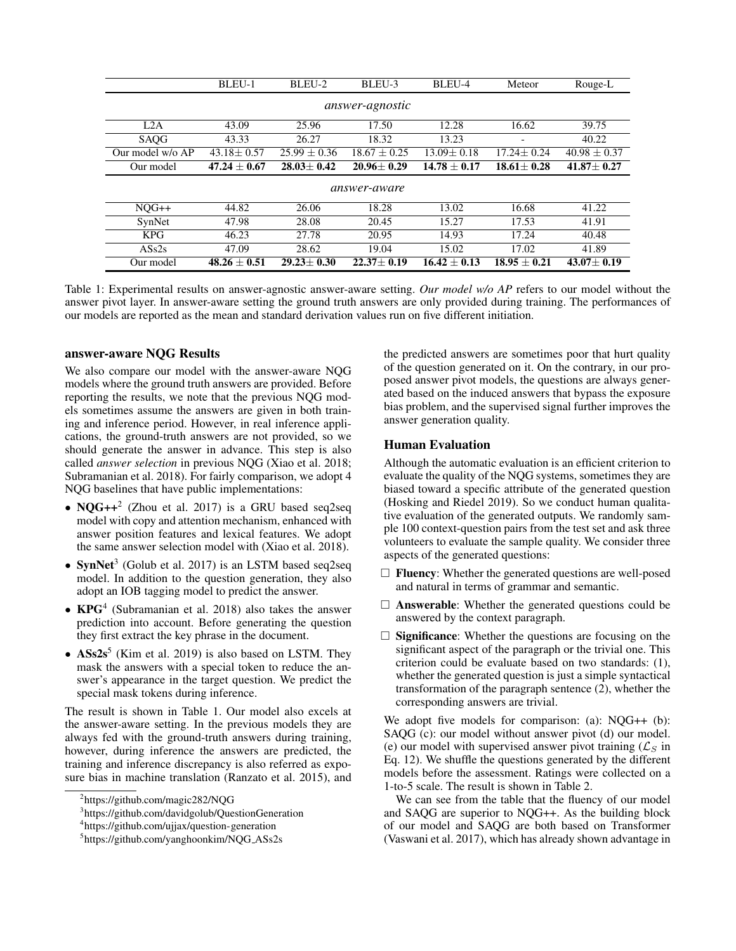|                        | BLEU-1           | BLEU-2         | BLEU-3           | BLEU-4           | Meteor                               | Rouge-L          |  |  |  |
|------------------------|------------------|----------------|------------------|------------------|--------------------------------------|------------------|--|--|--|
| <i>answer-agnostic</i> |                  |                |                  |                  |                                      |                  |  |  |  |
| L2A                    | 43.09            | 25.96          | 17.50            | 12.28            | 16.62                                | 39.75            |  |  |  |
| <b>SAOG</b>            | 43.33            | 26.27          | 18.32            | 13.23            |                                      | 40.22            |  |  |  |
| Our model w/o AP       | $43.18 \pm 0.57$ | $25.99 + 0.36$ | $18.67 + 0.25$   | $13.09 + 0.18$   | $17.24 \pm 0.24$                     | $40.98 \pm 0.37$ |  |  |  |
| Our model              | $47.24 \pm 0.67$ | $28.03 + 0.42$ | $20.96 \pm 0.29$ | $14.78 \pm 0.17$ | $18.61 \pm 0.28$<br>$41.87 \pm 0.27$ |                  |  |  |  |
| answer-aware           |                  |                |                  |                  |                                      |                  |  |  |  |
|                        |                  |                |                  |                  |                                      |                  |  |  |  |
| $NOG++$                | 44.82            | 26.06          | 18.28            | 13.02            | 16.68                                | 41.22            |  |  |  |
| SynNet                 | 47.98            | 28.08          | 20.45            | 15.27            | 17.53                                | 41.91            |  |  |  |
| <b>KPG</b>             | 46.23            | 27.78          | 20.95            | 14.93            | 17.24                                | 40.48            |  |  |  |
| $\overline{ASS2s}$     | 47.09            | 28.62          | 19.04            | 15.02            | 17.02                                | 41.89            |  |  |  |

Table 1: Experimental results on answer-agnostic answer-aware setting. *Our model w/o AP* refers to our model without the answer pivot layer. In answer-aware setting the ground truth answers are only provided during training. The performances of our models are reported as the mean and standard derivation values run on five different initiation.

#### answer-aware NQG Results

We also compare our model with the answer-aware NQG models where the ground truth answers are provided. Before reporting the results, we note that the previous NQG models sometimes assume the answers are given in both training and inference period. However, in real inference applications, the ground-truth answers are not provided, so we should generate the answer in advance. This step is also called *answer selection* in previous NQG (Xiao et al. 2018; Subramanian et al. 2018). For fairly comparison, we adopt 4 NQG baselines that have public implementations:

- NQG++<sup>2</sup> (Zhou et al. 2017) is a GRU based seq2seq model with copy and attention mechanism, enhanced with answer position features and lexical features. We adopt the same answer selection model with (Xiao et al. 2018).
- SynNet<sup>3</sup> (Golub et al. 2017) is an LSTM based seq2seq model. In addition to the question generation, they also adopt an IOB tagging model to predict the answer.
- KPG<sup>4</sup> (Subramanian et al. 2018) also takes the answer prediction into account. Before generating the question they first extract the key phrase in the document.
- $\mathbf{ASS2s}^5$  (Kim et al. 2019) is also based on LSTM. They mask the answers with a special token to reduce the answer's appearance in the target question. We predict the special mask tokens during inference.

The result is shown in Table 1. Our model also excels at the answer-aware setting. In the previous models they are always fed with the ground-truth answers during training, however, during inference the answers are predicted, the training and inference discrepancy is also referred as exposure bias in machine translation (Ranzato et al. 2015), and

the predicted answers are sometimes poor that hurt quality of the question generated on it. On the contrary, in our proposed answer pivot models, the questions are always generated based on the induced answers that bypass the exposure bias problem, and the supervised signal further improves the answer generation quality.

#### Human Evaluation

Although the automatic evaluation is an efficient criterion to evaluate the quality of the NQG systems, sometimes they are biased toward a specific attribute of the generated question (Hosking and Riedel 2019). So we conduct human qualitative evaluation of the generated outputs. We randomly sample 100 context-question pairs from the test set and ask three volunteers to evaluate the sample quality. We consider three aspects of the generated questions:

- $\Box$  **Fluency**: Whether the generated questions are well-posed and natural in terms of grammar and semantic.
- $\Box$  **Answerable:** Whether the generated questions could be answered by the context paragraph.
- $\Box$  Significance: Whether the questions are focusing on the significant aspect of the paragraph or the trivial one. This criterion could be evaluate based on two standards: (1), whether the generated question is just a simple syntactical transformation of the paragraph sentence (2), whether the corresponding answers are trivial.

We adopt five models for comparison: (a): NQG++ (b): SAQG (c): our model without answer pivot (d) our model. (e) our model with supervised answer pivot training  $(\mathcal{L}_S)$  in Eq. 12). We shuffle the questions generated by the different models before the assessment. Ratings were collected on a 1-to-5 scale. The result is shown in Table 2.

We can see from the table that the fluency of our model and SAQG are superior to NQG++. As the building block of our model and SAQG are both based on Transformer (Vaswani et al. 2017), which has already shown advantage in

<sup>2</sup> https://github.com/magic282/NQG

<sup>&</sup>lt;sup>3</sup>https://github.com/davidgolub/QuestionGeneration

<sup>4</sup> https://github.com/ujjax/question-generation

<sup>5</sup> https://github.com/yanghoonkim/NQG ASs2s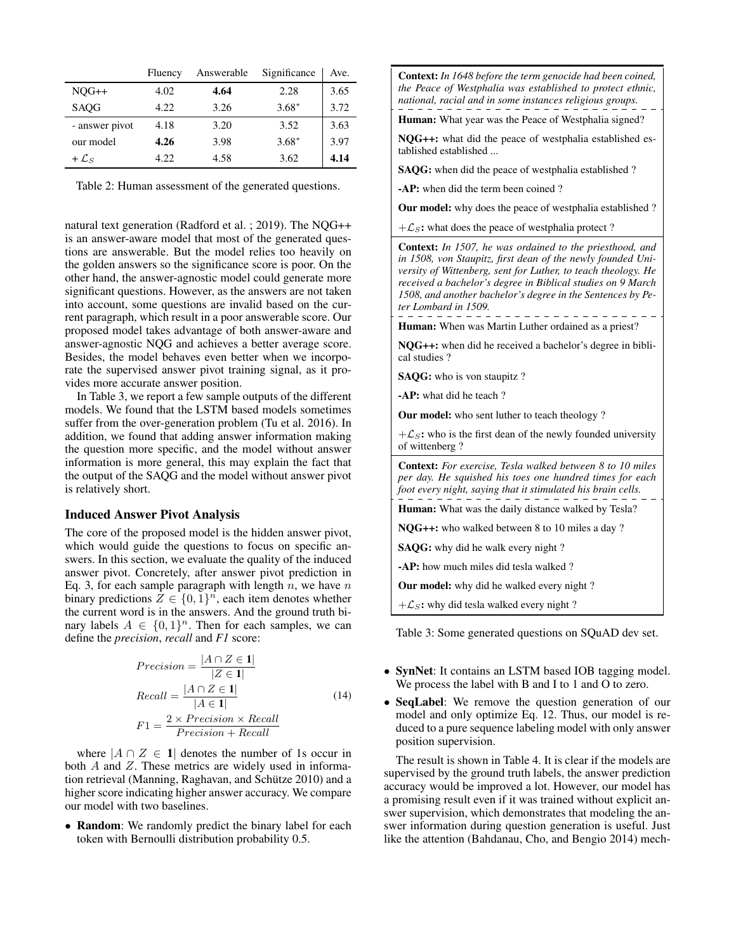|                   | Fluency | Answerable | Significance | Ave. |
|-------------------|---------|------------|--------------|------|
| $NQG++$           | 4.02    | 4.64       | 2.28         | 3.65 |
| SAQG              | 4.22    | 3.26       | $3.68*$      | 3.72 |
| - answer pivot    | 4.18    | 3.20       | 3.52         | 3.63 |
| our model         | 4.26    | 3.98       | $3.68*$      | 3.97 |
| + $\mathcal{L}_S$ | 4.22    | 4.58       | 3.62         | 4.14 |

Table 2: Human assessment of the generated questions.

natural text generation (Radford et al. ; 2019). The NQG++ is an answer-aware model that most of the generated questions are answerable. But the model relies too heavily on the golden answers so the significance score is poor. On the other hand, the answer-agnostic model could generate more significant questions. However, as the answers are not taken into account, some questions are invalid based on the current paragraph, which result in a poor answerable score. Our proposed model takes advantage of both answer-aware and answer-agnostic NQG and achieves a better average score. Besides, the model behaves even better when we incorporate the supervised answer pivot training signal, as it provides more accurate answer position.

In Table 3, we report a few sample outputs of the different models. We found that the LSTM based models sometimes suffer from the over-generation problem (Tu et al. 2016). In addition, we found that adding answer information making the question more specific, and the model without answer information is more general, this may explain the fact that the output of the SAQG and the model without answer pivot is relatively short.

## Induced Answer Pivot Analysis

The core of the proposed model is the hidden answer pivot, which would guide the questions to focus on specific answers. In this section, we evaluate the quality of the induced answer pivot. Concretely, after answer pivot prediction in Eq. 3, for each sample paragraph with length  $n$ , we have  $n$ binary predictions  $Z \in \{0,1\}^n$ , each item denotes whether the current word is in the answers. And the ground truth binary labels  $A \in \{0,1\}^n$ . Then for each samples, we can define the *precision*, *recall* and *F1* score:

$$
Precision = \frac{|A \cap Z \in \mathbf{1}|}{|Z \in \mathbf{1}|}
$$
  
\n
$$
Recall = \frac{|A \cap Z \in \mathbf{1}|}{|A \in \mathbf{1}|}
$$
  
\n
$$
F1 = \frac{2 \times Precision \times Recall}{Precision + Recall}
$$
  
\n(14)

where  $|A \cap Z \in \mathbf{1}|$  denotes the number of 1s occur in both  $A$  and  $Z$ . These metrics are widely used in information retrieval (Manning, Raghavan, and Schütze 2010) and a higher score indicating higher answer accuracy. We compare our model with two baselines.

• Random: We randomly predict the binary label for each token with Bernoulli distribution probability 0.5.

Context: *In 1648 before the term genocide had been coined, the Peace of Westphalia was established to protect ethnic, national, racial and in some instances religious groups.*

Human: What year was the Peace of Westphalia signed?

NQG++: what did the peace of westphalia established established established ...

SAQG: when did the peace of westphalia established ?

-AP: when did the term been coined ?

Our model: why does the peace of westphalia established ?

 $+\mathcal{L}_s$ : what does the peace of westphalia protect ?

Context: *In 1507, he was ordained to the priesthood, and in 1508, von Staupitz, first dean of the newly founded University of Wittenberg, sent for Luther, to teach theology. He received a bachelor's degree in Biblical studies on 9 March 1508, and another bachelor's degree in the Sentences by Peter Lombard in 1509.*

Human: When was Martin Luther ordained as a priest?

NQG++: when did he received a bachelor's degree in biblical studies ?

SAQG: who is von staupitz ?

-AP: what did he teach ?

Our model: who sent luther to teach theology ?

 $+\mathcal{L}_s$ : who is the first dean of the newly founded university of wittenberg ?

Context: *For exercise, Tesla walked between 8 to 10 miles per day. He squished his toes one hundred times for each foot every night, saying that it stimulated his brain cells.*

Human: What was the daily distance walked by Tesla?

NQG++: who walked between 8 to 10 miles a day ?

SAQG: why did he walk every night ?

-AP: how much miles did tesla walked ?

Our model: why did he walked every night ?

 $+\mathcal{L}_S$ : why did tesla walked every night ?

Table 3: Some generated questions on SQuAD dev set.

- SynNet: It contains an LSTM based IOB tagging model. We process the label with B and I to 1 and O to zero.
- SeqLabel: We remove the question generation of our model and only optimize Eq. 12. Thus, our model is reduced to a pure sequence labeling model with only answer position supervision.

The result is shown in Table 4. It is clear if the models are supervised by the ground truth labels, the answer prediction accuracy would be improved a lot. However, our model has a promising result even if it was trained without explicit answer supervision, which demonstrates that modeling the answer information during question generation is useful. Just like the attention (Bahdanau, Cho, and Bengio 2014) mech-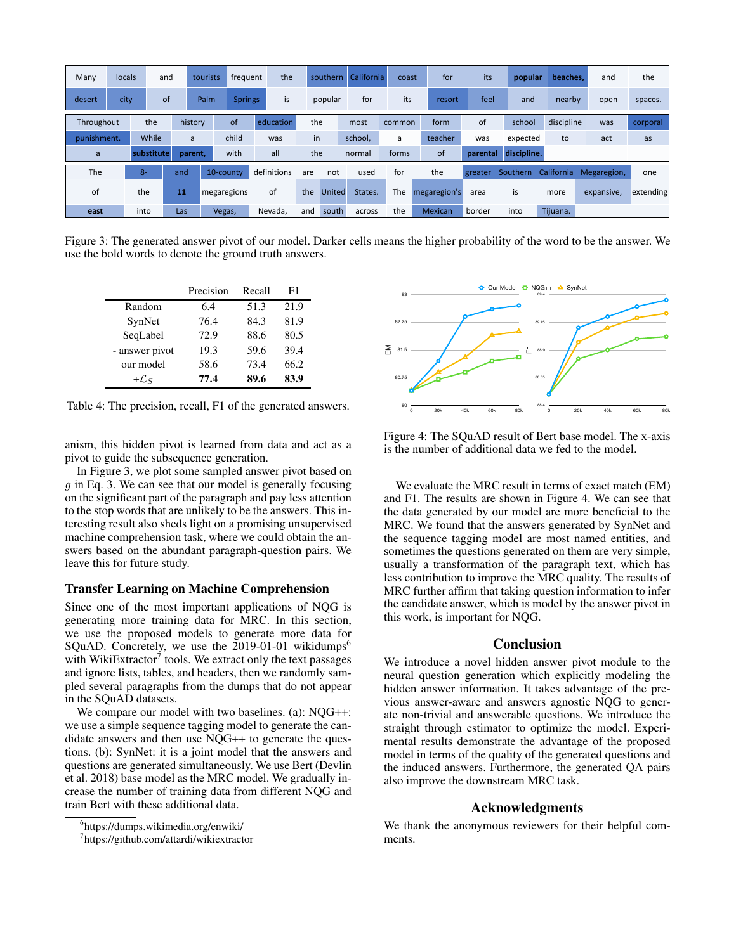| Many        | locals |            | and | tourists | frequent    | the         |     | southern      | California | coast  | for            | its      | popular     | beaches.   | and         | the       |
|-------------|--------|------------|-----|----------|-------------|-------------|-----|---------------|------------|--------|----------------|----------|-------------|------------|-------------|-----------|
| desert      | city   |            | of  | Palm     | Springs/    | is          |     | popular       | for        | its    | resort         | feel     | and         | nearby     | open        | spaces.   |
| Throughout  |        | the        |     | history  | of          | education   |     | the           | most       | common | form           | 0f       | school      | discipline | was         | corporal  |
| punishment. |        | While      |     | a        | child       | was         |     | in            | school,    | a      | teacher        | was      | expected    | to         | act         | as        |
| a           |        | substitute |     | parent,  | with        | all         |     | the           | normal     | forms  | <b>of</b>      | parental | discipline. |            |             |           |
| The         |        | $8-$       | and |          | 10-county   | definitions | are | not           | used       | for    | the            | greater  | Southern    | California | Megaregion, | one       |
| of          |        | the        | 11  |          | megaregions | of          | the | <b>United</b> | States.    | The    | megaregion's   | area     | is          | more       | expansive,  | extending |
| east        |        | into       | Las |          | Vegas,      | Nevada,     | and | south         | across     | the    | <b>Mexican</b> | border   | into        | Tijuana.   |             |           |

Figure 3: The generated answer pivot of our model. Darker cells means the higher probability of the word to be the answer. We use the bold words to denote the ground truth answers.

|                | Precision | Recall | F1   |
|----------------|-----------|--------|------|
| Random         | 6.4       | 51.3   | 21.9 |
| SynNet         | 76.4      | 84.3   | 81.9 |
| SeqLabel       | 72.9      | 88.6   | 80.5 |
| - answer pivot | 19.3      | 59.6   | 39.4 |
| our model      | 58.6      | 73.4   | 66.2 |
| $+{\cal L}_S$  | 77.4      | 89.6   | 83.9 |

Table 4: The precision, recall, F1 of the generated answers.

anism, this hidden pivot is learned from data and act as a pivot to guide the subsequence generation.

In Figure 3, we plot some sampled answer pivot based on  $q$  in Eq. 3. We can see that our model is generally focusing on the significant part of the paragraph and pay less attention to the stop words that are unlikely to be the answers. This interesting result also sheds light on a promising unsupervised machine comprehension task, where we could obtain the answers based on the abundant paragraph-question pairs. We leave this for future study.

#### Transfer Learning on Machine Comprehension

Since one of the most important applications of NQG is generating more training data for MRC. In this section, we use the proposed models to generate more data for SQuAD. Concretely, we use the  $2019-01-01$  wikidumps<sup>6</sup> with WikiExtractor<sup>7</sup> tools. We extract only the text passages and ignore lists, tables, and headers, then we randomly sampled several paragraphs from the dumps that do not appear in the SQuAD datasets.

We compare our model with two baselines. (a): NQG++: we use a simple sequence tagging model to generate the candidate answers and then use NQG++ to generate the questions. (b): SynNet: it is a joint model that the answers and questions are generated simultaneously. We use Bert (Devlin et al. 2018) base model as the MRC model. We gradually increase the number of training data from different NQG and train Bert with these additional data.



Figure 4: The SQuAD result of Bert base model. The x-axis is the number of additional data we fed to the model.

We evaluate the MRC result in terms of exact match (EM) and F1. The results are shown in Figure 4. We can see that the data generated by our model are more beneficial to the MRC. We found that the answers generated by SynNet and the sequence tagging model are most named entities, and sometimes the questions generated on them are very simple, usually a transformation of the paragraph text, which has less contribution to improve the MRC quality. The results of MRC further affirm that taking question information to infer the candidate answer, which is model by the answer pivot in this work, is important for NQG.

## **Conclusion**

We introduce a novel hidden answer pivot module to the neural question generation which explicitly modeling the hidden answer information. It takes advantage of the previous answer-aware and answers agnostic NQG to generate non-trivial and answerable questions. We introduce the straight through estimator to optimize the model. Experimental results demonstrate the advantage of the proposed model in terms of the quality of the generated questions and the induced answers. Furthermore, the generated QA pairs also improve the downstream MRC task.

## Acknowledgments

We thank the anonymous reviewers for their helpful comments.

<sup>6</sup> https://dumps.wikimedia.org/enwiki/

<sup>7</sup> https://github.com/attardi/wikiextractor